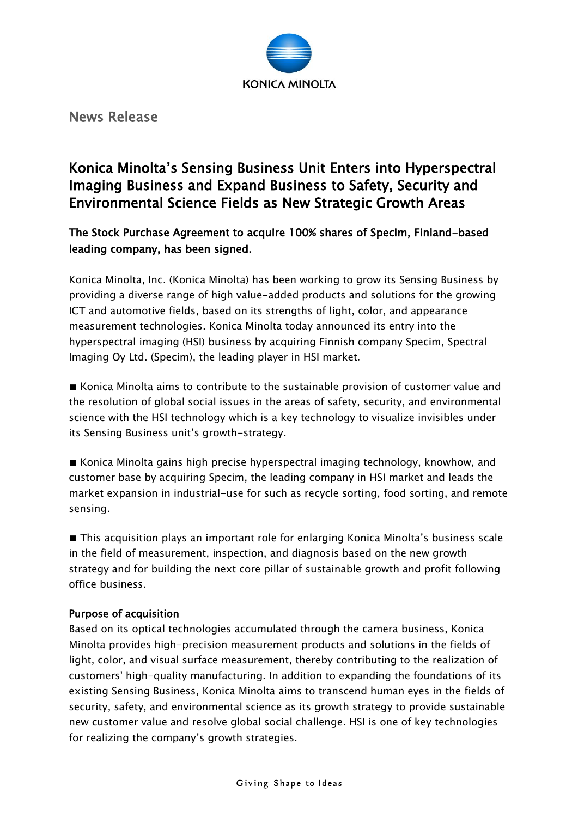

News Release

# Konica Minolta's Sensing Business Unit Enters into Hyperspectral Imaging Business and Expand Business to Safety, Security and Environmental Science Fields as New Strategic Growth Areas

## The Stock Purchase Agreement to acquire 100% shares of Specim, Finland-based leading company, has been signed.

Konica Minolta, Inc. (Konica Minolta) has been working to grow its Sensing Business by providing a diverse range of high value-added products and solutions for the growing ICT and automotive fields, based on its strengths of light, color, and appearance measurement technologies. Konica Minolta today announced its entry into the hyperspectral imaging (HSI) business by acquiring Finnish company Specim, Spectral Imaging Oy Ltd. (Specim), the leading player in HSI market.

■ Konica Minolta aims to contribute to the sustainable provision of customer value and the resolution of global social issues in the areas of safety, security, and environmental science with the HSI technology which is a key technology to visualize invisibles under its Sensing Business unit's growth-strategy.

■ Konica Minolta gains high precise hyperspectral imaging technology, knowhow, and customer base by acquiring Specim, the leading company in HSI market and leads the market expansion in industrial-use for such as recycle sorting, food sorting, and remote sensing.

■ This acquisition plays an important role for enlarging Konica Minolta's business scale in the field of measurement, inspection, and diagnosis based on the new growth strategy and for building the next core pillar of sustainable growth and profit following office business.

### Purpose of acquisition

Based on its optical technologies accumulated through the camera business, Konica Minolta provides high-precision measurement products and solutions in the fields of light, color, and visual surface measurement, thereby contributing to the realization of customers' high-quality manufacturing. In addition to expanding the foundations of its existing Sensing Business, Konica Minolta aims to transcend human eyes in the fields of security, safety, and environmental science as its growth strategy to provide sustainable new customer value and resolve global social challenge. HSI is one of key technologies for realizing the company's growth strategies.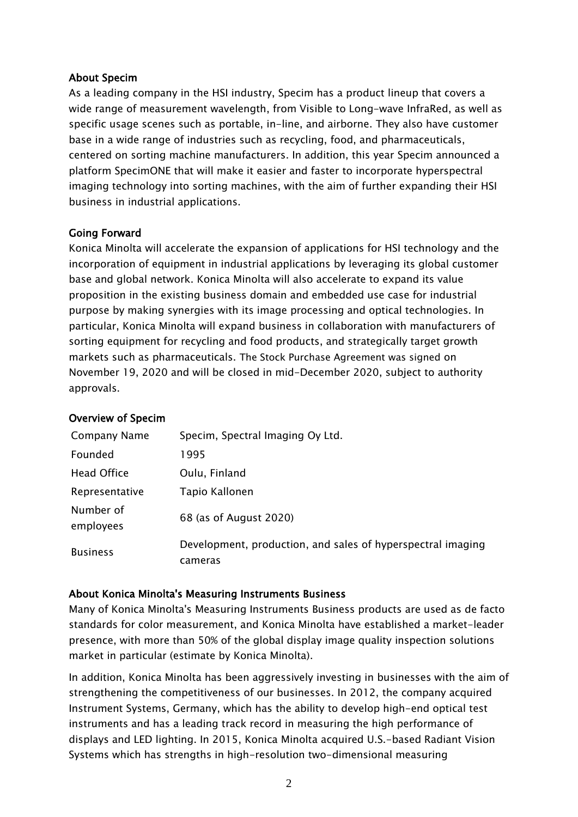#### About Specim

As a leading company in the HSI industry, Specim has a product lineup that covers a wide range of measurement wavelength, from Visible to Long-wave InfraRed, as well as specific usage scenes such as portable, in-line, and airborne. They also have customer base in a wide range of industries such as recycling, food, and pharmaceuticals, centered on sorting machine manufacturers. In addition, this year Specim announced a platform SpecimONE that will make it easier and faster to incorporate hyperspectral imaging technology into sorting machines, with the aim of further expanding their HSI business in industrial applications.

#### Going Forward

Konica Minolta will accelerate the expansion of applications for HSI technology and the incorporation of equipment in industrial applications by leveraging its global customer base and global network. Konica Minolta will also accelerate to expand its value proposition in the existing business domain and embedded use case for industrial purpose by making synergies with its image processing and optical technologies. In particular, Konica Minolta will expand business in collaboration with manufacturers of sorting equipment for recycling and food products, and strategically target growth markets such as pharmaceuticals. The Stock Purchase Agreement was signed on November 19, 2020 and will be closed in mid-December 2020, subject to authority approvals.

#### Overview of Specim

| Company Name           | Specim, Spectral Imaging Oy Ltd.                                       |
|------------------------|------------------------------------------------------------------------|
| Founded                | 1995                                                                   |
| Head Office            | Oulu, Finland                                                          |
| Representative         | Tapio Kallonen                                                         |
| Number of<br>employees | 68 (as of August 2020)                                                 |
| <b>Business</b>        | Development, production, and sales of hyperspectral imaging<br>cameras |

#### About Konica Minolta's Measuring Instruments Business

Many of Konica Minolta's Measuring Instruments Business products are used as de facto standards for color measurement, and Konica Minolta have established a market-leader presence, with more than 50% of the global display image quality inspection solutions market in particular (estimate by Konica Minolta).

In addition, Konica Minolta has been aggressively investing in businesses with the aim of strengthening the competitiveness of our businesses. In 2012, the company acquired Instrument Systems, Germany, which has the ability to develop high-end optical test instruments and has a leading track record in measuring the high performance of displays and LED lighting. In 2015, Konica Minolta acquired U.S.-based Radiant Vision Systems which has strengths in high-resolution two-dimensional measuring